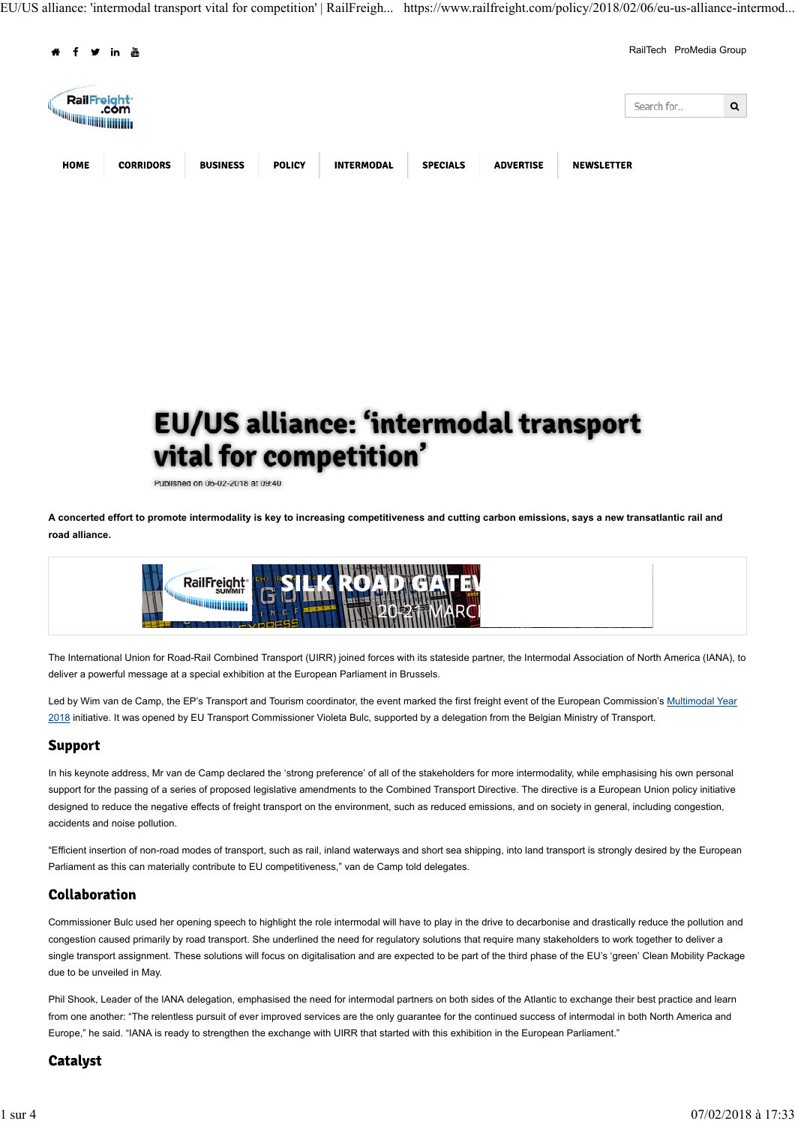EU/US alliance: 'intermodal transport vital for competition' | RailFreigh... https://www.railfreight.com/policy/2018/02/06/eu-us-alliance-intermod...



# EU/US alliance: 'intermodal transport vital for competition'

Published on 06-02-2018 at 09:40

**A concerted effort to promote intermodality is key to increasing competitiveness and cutting carbon emissions, says a new transatlantic rail and road alliance.**



The International Union for Road-Rail Combined Transport (UIRR) joined forces with its stateside partner, the Intermodal Association of North America (IANA), to deliver a powerful message at a special exhibition at the European Parliament in Brussels.

Led by Wim van de Camp, the EP's Transport and Tourism coordinator, the event marked the first freight event of the European Commission's Multimodal Year 2018 initiative. It was opened by EU Transport Commissioner Violeta Bulc, supported by a delegation from the Belgian Ministry of Transport.

## **Support**

In his keynote address, Mr van de Camp declared the 'strong preference' of all of the stakeholders for more intermodality, while emphasising his own personal support for the passing of a series of proposed legislative amendments to the Combined Transport Directive. The directive is a European Union policy initiative designed to reduce the negative effects of freight transport on the environment, such as reduced emissions, and on society in general, including congestion, accidents and noise pollution.

"Efficient insertion of non-road modes of transport, such as rail, inland waterways and short sea shipping, into land transport is strongly desired by the European Parliament as this can materially contribute to EU competitiveness," van de Camp told delegates.

# Collaboration

Commissioner Bulc used her opening speech to highlight the role intermodal will have to play in the drive to decarbonise and drastically reduce the pollution and congestion caused primarily by road transport. She underlined the need for regulatory solutions that require many stakeholders to work together to deliver a single transport assignment. These solutions will focus on digitalisation and are expected to be part of the third phase of the EU's 'green' Clean Mobility Package due to be unveiled in May.

Phil Shook, Leader of the IANA delegation, emphasised the need for intermodal partners on both sides of the Atlantic to exchange their best practice and learn from one another: "The relentless pursuit of ever improved services are the only guarantee for the continued success of intermodal in both North America and Europe," he said. "IANA is ready to strengthen the exchange with UIRR that started with this exhibition in the European Parliament."

# **Catalyst**